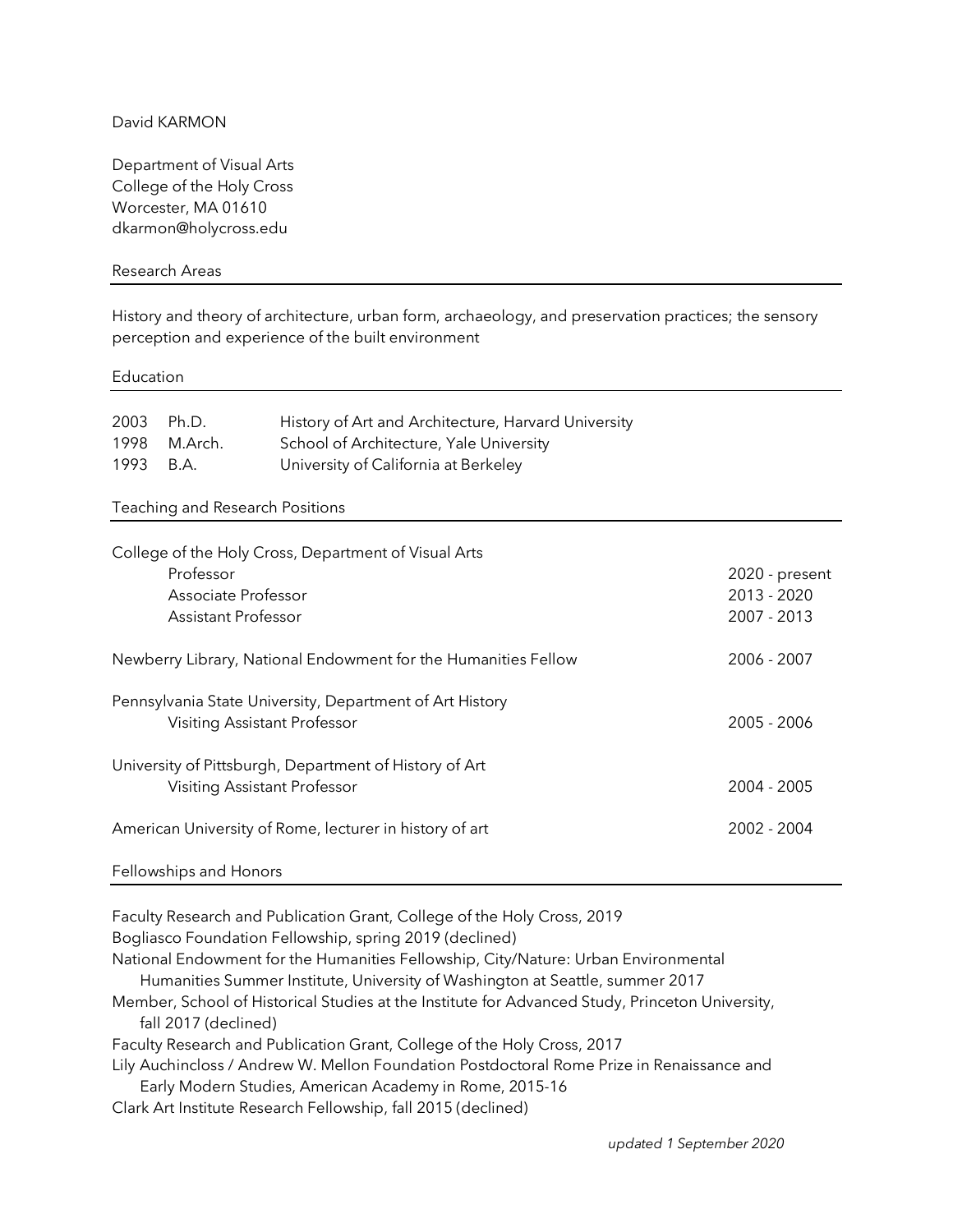# David KARMON

Department of Visual Arts College of the Holy Cross Worcester, MA 01610 dkarmon@holycross.edu

## Research Areas

History and theory of architecture, urban form, archaeology, and preservation practices; the sensory perception and experience of the built environment

#### Education

| 2003 Ph.D. |              | History of Art and Architecture, Harvard University |
|------------|--------------|-----------------------------------------------------|
|            | 1998 M.Arch. | School of Architecture, Yale University             |
| 1993 B.A.  |              | University of California at Berkeley                |

### Teaching and Research Positions

| College of the Holy Cross, Department of Visual Arts           |                |
|----------------------------------------------------------------|----------------|
| Professor                                                      | 2020 - present |
| Associate Professor                                            | 2013 - 2020    |
| Assistant Professor                                            | 2007 - 2013    |
| Newberry Library, National Endowment for the Humanities Fellow | 2006 - 2007    |
| Pennsylvania State University, Department of Art History       |                |
| Visiting Assistant Professor                                   | 2005 - 2006    |
| University of Pittsburgh, Department of History of Art         |                |
| Visiting Assistant Professor                                   | 2004 - 2005    |
| American University of Rome, lecturer in history of art        | 2002 - 2004    |
|                                                                |                |

#### Fellowships and Honors

Faculty Research and Publication Grant, College of the Holy Cross, 2019

Bogliasco Foundation Fellowship, spring 2019 (declined)

National Endowment for the Humanities Fellowship, City/Nature: Urban Environmental Humanities Summer Institute, University of Washington at Seattle, summer 2017

Member, School of Historical Studies at the Institute for Advanced Study, Princeton University, fall 2017 (declined)

Faculty Research and Publication Grant, College of the Holy Cross, 2017

Lily Auchincloss / Andrew W. Mellon Foundation Postdoctoral Rome Prize in Renaissance and

Early Modern Studies, American Academy in Rome, 2015-16

Clark Art Institute Research Fellowship, fall 2015 (declined)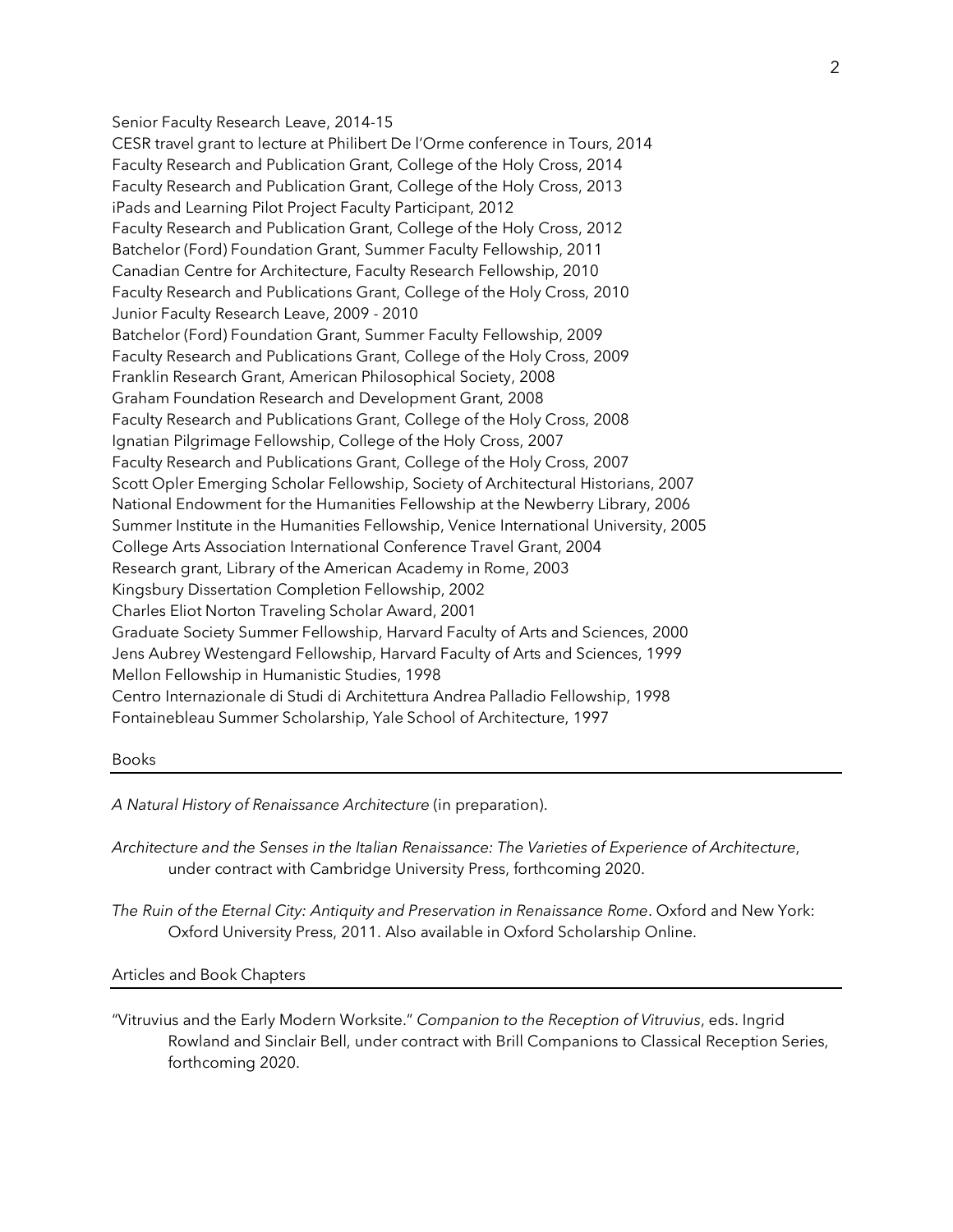Senior Faculty Research Leave, 2014-15

CESR travel grant to lecture at Philibert De l'Orme conference in Tours, 2014 Faculty Research and Publication Grant, College of the Holy Cross, 2014 Faculty Research and Publication Grant, College of the Holy Cross, 2013 iPads and Learning Pilot Project Faculty Participant, 2012 Faculty Research and Publication Grant, College of the Holy Cross, 2012 Batchelor (Ford) Foundation Grant, Summer Faculty Fellowship, 2011 Canadian Centre for Architecture, Faculty Research Fellowship, 2010 Faculty Research and Publications Grant, College of the Holy Cross, 2010 Junior Faculty Research Leave, 2009 - 2010 Batchelor (Ford) Foundation Grant, Summer Faculty Fellowship, 2009 Faculty Research and Publications Grant, College of the Holy Cross, 2009 Franklin Research Grant, American Philosophical Society, 2008 Graham Foundation Research and Development Grant, 2008 Faculty Research and Publications Grant, College of the Holy Cross, 2008 Ignatian Pilgrimage Fellowship, College of the Holy Cross, 2007 Faculty Research and Publications Grant, College of the Holy Cross, 2007 Scott Opler Emerging Scholar Fellowship, Society of Architectural Historians, 2007 National Endowment for the Humanities Fellowship at the Newberry Library, 2006 Summer Institute in the Humanities Fellowship, Venice International University, 2005 College Arts Association International Conference Travel Grant, 2004 Research grant, Library of the American Academy in Rome, 2003 Kingsbury Dissertation Completion Fellowship, 2002 Charles Eliot Norton Traveling Scholar Award, 2001 Graduate Society Summer Fellowship, Harvard Faculty of Arts and Sciences, 2000 Jens Aubrey Westengard Fellowship, Harvard Faculty of Arts and Sciences, 1999 Mellon Fellowship in Humanistic Studies, 1998 Centro Internazionale di Studi di Architettura Andrea Palladio Fellowship, 1998 Fontainebleau Summer Scholarship, Yale School of Architecture, 1997

#### Books

*A Natural History of Renaissance Architecture* (in preparation).

*Architecture and the Senses in the Italian Renaissance: The Varieties of Experience of Architecture*, under contract with Cambridge University Press, forthcoming 2020.

*The Ruin of the Eternal City: Antiquity and Preservation in Renaissance Rome*. Oxford and New York: Oxford University Press, 2011. Also available in Oxford Scholarship Online.

Articles and Book Chapters

"Vitruvius and the Early Modern Worksite." *Companion to the Reception of Vitruvius*, eds. Ingrid Rowland and Sinclair Bell, under contract with Brill Companions to Classical Reception Series, forthcoming 2020.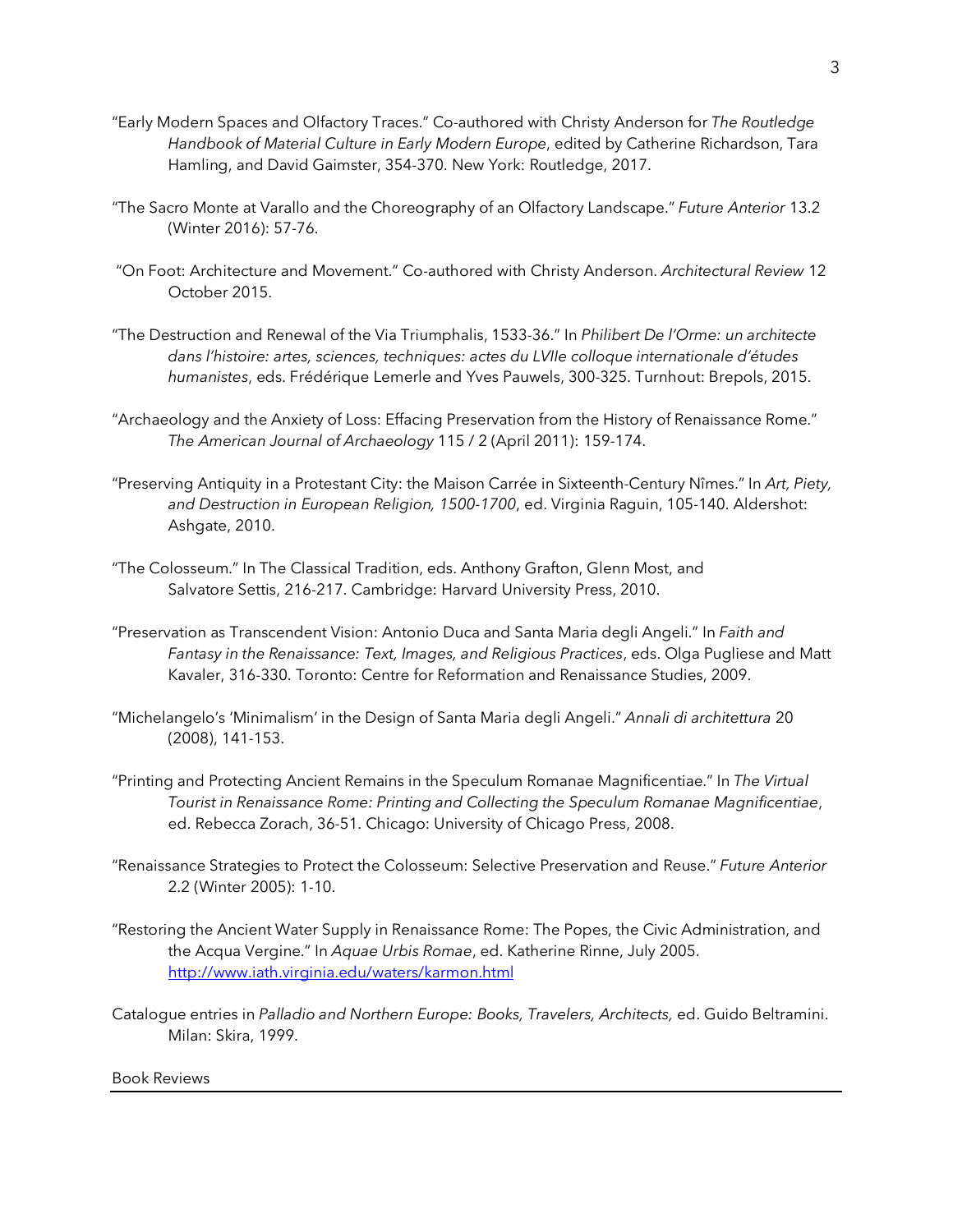- "Early Modern Spaces and Olfactory Traces." Co-authored with Christy Anderson for *The Routledge Handbook of Material Culture in Early Modern Europe*, edited by Catherine Richardson, Tara Hamling, and David Gaimster, 354-370. New York: Routledge, 2017.
- "The Sacro Monte at Varallo and the Choreography of an Olfactory Landscape." *Future Anterior* 13.2 (Winter 2016): 57-76.
- "On Foot: Architecture and Movement." Co-authored with Christy Anderson. *Architectural Review* 12 October 2015.
- "The Destruction and Renewal of the Via Triumphalis, 1533-36." In *Philibert De l'Orme: un architecte dans l'histoire: artes, sciences, techniques: actes du LVIIe colloque internationale d'études humanistes*, eds. Frédérique Lemerle and Yves Pauwels, 300-325. Turnhout: Brepols, 2015.
- "Archaeology and the Anxiety of Loss: Effacing Preservation from the History of Renaissance Rome." *The American Journal of Archaeology* 115 / 2 (April 2011): 159-174.
- "Preserving Antiquity in a Protestant City: the Maison Carrée in Sixteenth-Century Nîmes." In *Art, Piety, and Destruction in European Religion, 1500-1700*, ed. Virginia Raguin, 105-140. Aldershot: Ashgate, 2010.
- "The Colosseum." In The Classical Tradition, eds. Anthony Grafton, Glenn Most, and Salvatore Settis, 216-217. Cambridge: Harvard University Press, 2010.
- "Preservation as Transcendent Vision: Antonio Duca and Santa Maria degli Angeli." In *Faith and Fantasy in the Renaissance: Text, Images, and Religious Practices*, eds. Olga Pugliese and Matt Kavaler, 316-330. Toronto: Centre for Reformation and Renaissance Studies, 2009.
- "Michelangelo's 'Minimalism' in the Design of Santa Maria degli Angeli." *Annali di architettura* 20 (2008), 141-153.
- "Printing and Protecting Ancient Remains in the Speculum Romanae Magnificentiae." In *The Virtual Tourist in Renaissance Rome: Printing and Collecting the Speculum Romanae Magnificentiae*, ed. Rebecca Zorach, 36-51. Chicago: University of Chicago Press, 2008.
- "Renaissance Strategies to Protect the Colosseum: Selective Preservation and Reuse." *Future Anterior* 2.2 (Winter 2005): 1-10.
- "Restoring the Ancient Water Supply in Renaissance Rome: The Popes, the Civic Administration, and the Acqua Vergine." In *Aquae Urbis Romae*, ed. Katherine Rinne, July 2005. http://www.iath.virginia.edu/waters/karmon.html
- Catalogue entries in *Palladio and Northern Europe: Books, Travelers, Architects, ed. Guido Beltramini.* Milan: Skira, 1999.

Book Reviews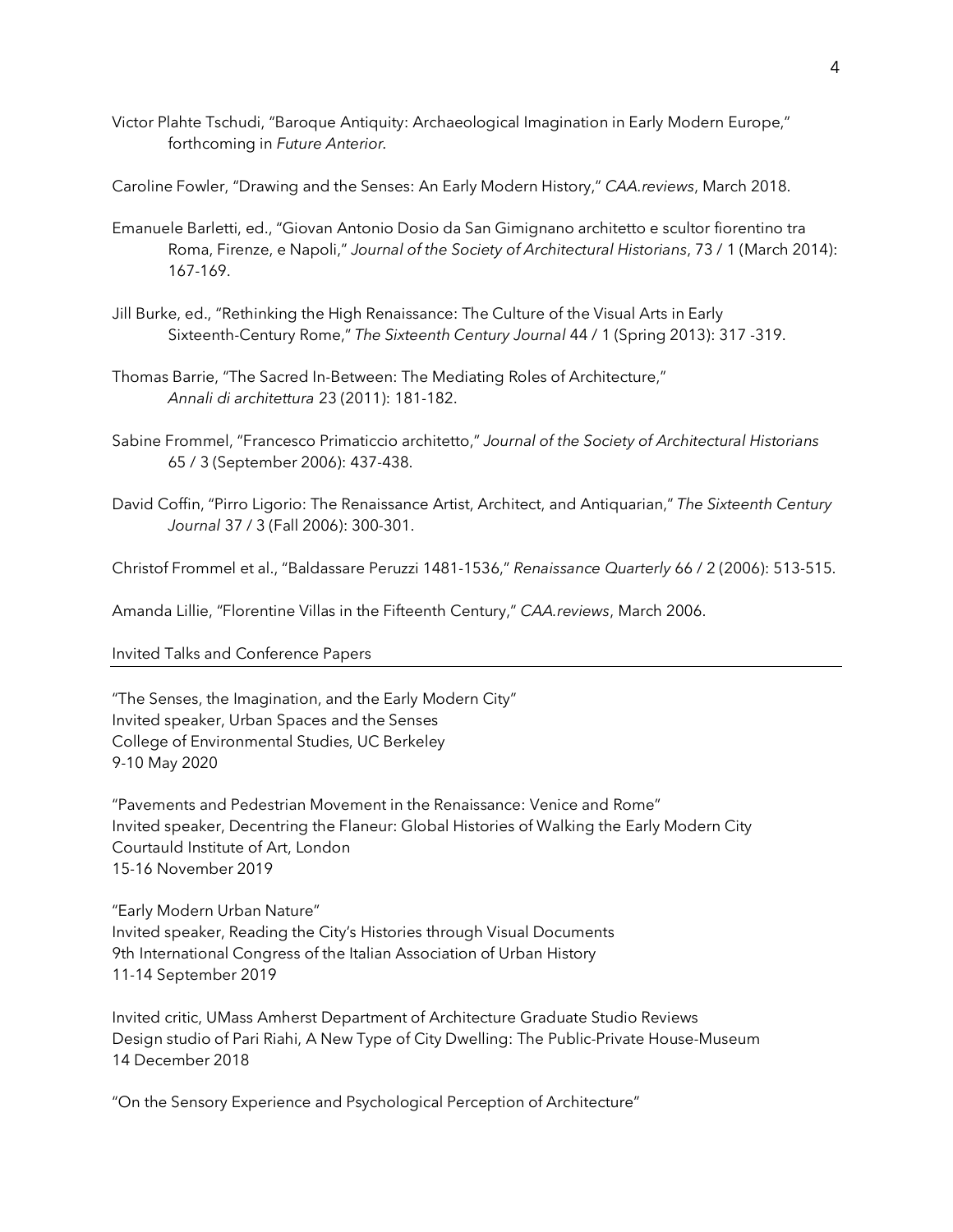- Victor Plahte Tschudi, "Baroque Antiquity: Archaeological Imagination in Early Modern Europe," forthcoming in *Future Anterior.*
- Caroline Fowler, "Drawing and the Senses: An Early Modern History," *CAA.reviews*, March 2018.
- Emanuele Barletti, ed., "Giovan Antonio Dosio da San Gimignano architetto e scultor fiorentino tra Roma, Firenze, e Napoli," *Journal of the Society of Architectural Historians*, 73 / 1 (March 2014): 167-169.
- Jill Burke, ed., "Rethinking the High Renaissance: The Culture of the Visual Arts in Early Sixteenth-Century Rome," *The Sixteenth Century Journal* 44 / 1 (Spring 2013): 317 -319.
- Thomas Barrie, "The Sacred In-Between: The Mediating Roles of Architecture," *Annali di architettura* 23 (2011): 181-182.
- Sabine Frommel, "Francesco Primaticcio architetto," *Journal of the Society of Architectural Historians* 65 / 3 (September 2006): 437-438.
- David Coffin, "Pirro Ligorio: The Renaissance Artist, Architect, and Antiquarian," *The Sixteenth Century Journal* 37 / 3 (Fall 2006): 300-301.

Christof Frommel et al., "Baldassare Peruzzi 1481-1536," *Renaissance Quarterly* 66 / 2 (2006): 513-515.

Amanda Lillie, "Florentine Villas in the Fifteenth Century," *CAA.reviews*, March 2006.

### Invited Talks and Conference Papers

"The Senses, the Imagination, and the Early Modern City" Invited speaker, Urban Spaces and the Senses College of Environmental Studies, UC Berkeley 9-10 May 2020

"Pavements and Pedestrian Movement in the Renaissance: Venice and Rome" Invited speaker, Decentring the Flaneur: Global Histories of Walking the Early Modern City Courtauld Institute of Art, London 15-16 November 2019

"Early Modern Urban Nature" Invited speaker, Reading the City's Histories through Visual Documents 9th International Congress of the Italian Association of Urban History 11-14 September 2019

Invited critic, UMass Amherst Department of Architecture Graduate Studio Reviews Design studio of Pari Riahi, A New Type of City Dwelling: The Public-Private House-Museum 14 December 2018

"On the Sensory Experience and Psychological Perception of Architecture"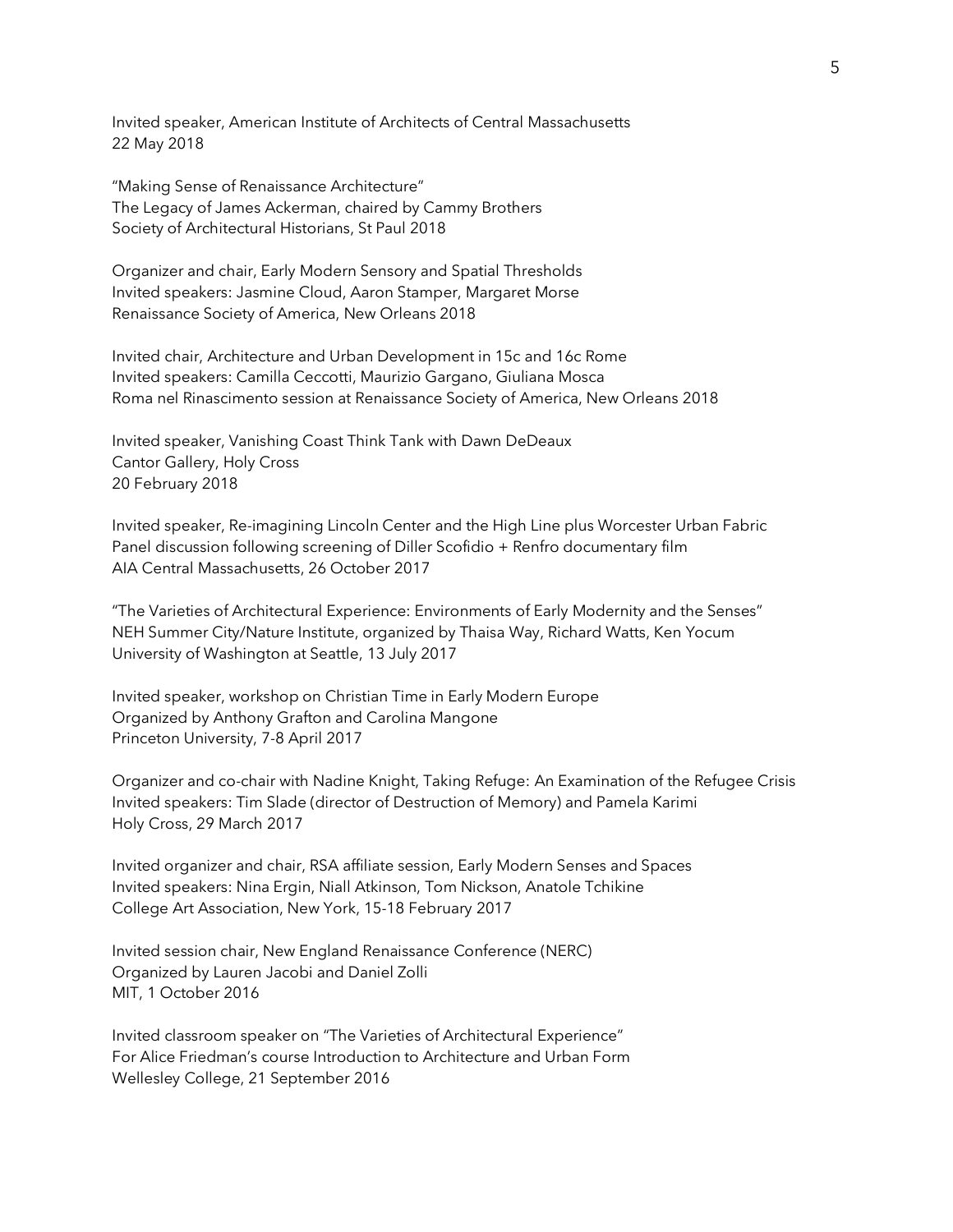Invited speaker, American Institute of Architects of Central Massachusetts 22 May 2018

"Making Sense of Renaissance Architecture" The Legacy of James Ackerman, chaired by Cammy Brothers Society of Architectural Historians, St Paul 2018

Organizer and chair, Early Modern Sensory and Spatial Thresholds Invited speakers: Jasmine Cloud, Aaron Stamper, Margaret Morse Renaissance Society of America, New Orleans 2018

Invited chair, Architecture and Urban Development in 15c and 16c Rome Invited speakers: Camilla Ceccotti, Maurizio Gargano, Giuliana Mosca Roma nel Rinascimento session at Renaissance Society of America, New Orleans 2018

Invited speaker, Vanishing Coast Think Tank with Dawn DeDeaux Cantor Gallery, Holy Cross 20 February 2018

Invited speaker, Re-imagining Lincoln Center and the High Line plus Worcester Urban Fabric Panel discussion following screening of Diller Scofidio + Renfro documentary film AIA Central Massachusetts, 26 October 2017

"The Varieties of Architectural Experience: Environments of Early Modernity and the Senses" NEH Summer City/Nature Institute, organized by Thaisa Way, Richard Watts, Ken Yocum University of Washington at Seattle, 13 July 2017

Invited speaker, workshop on Christian Time in Early Modern Europe Organized by Anthony Grafton and Carolina Mangone Princeton University, 7-8 April 2017

Organizer and co-chair with Nadine Knight, Taking Refuge: An Examination of the Refugee Crisis Invited speakers: Tim Slade (director of Destruction of Memory) and Pamela Karimi Holy Cross, 29 March 2017

Invited organizer and chair, RSA affiliate session, Early Modern Senses and Spaces Invited speakers: Nina Ergin, Niall Atkinson, Tom Nickson, Anatole Tchikine College Art Association, New York, 15-18 February 2017

Invited session chair, New England Renaissance Conference (NERC) Organized by Lauren Jacobi and Daniel Zolli MIT, 1 October 2016

Invited classroom speaker on "The Varieties of Architectural Experience" For Alice Friedman's course Introduction to Architecture and Urban Form Wellesley College, 21 September 2016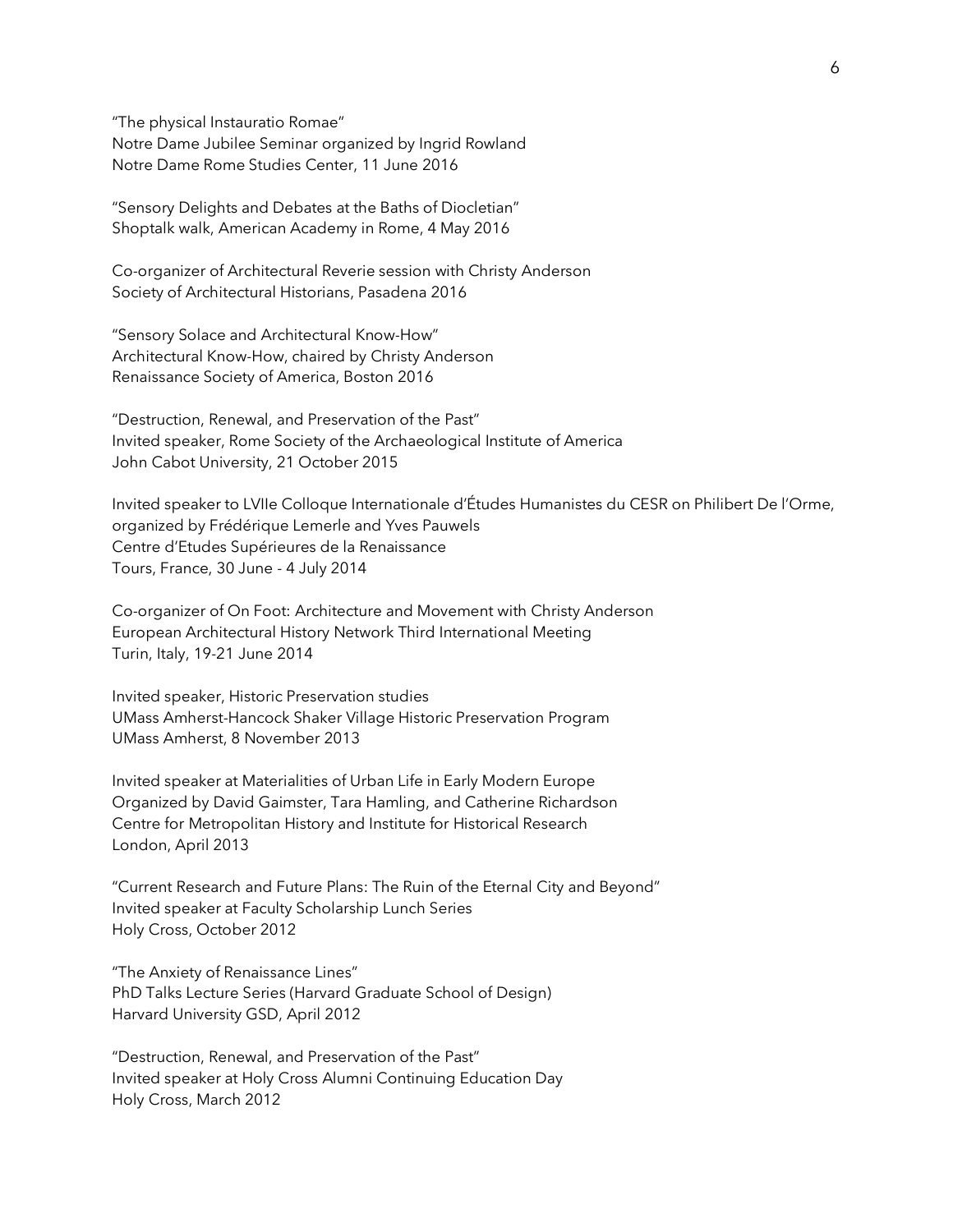"The physical Instauratio Romae" Notre Dame Jubilee Seminar organized by Ingrid Rowland Notre Dame Rome Studies Center, 11 June 2016

"Sensory Delights and Debates at the Baths of Diocletian" Shoptalk walk, American Academy in Rome, 4 May 2016

Co-organizer of Architectural Reverie session with Christy Anderson Society of Architectural Historians, Pasadena 2016

"Sensory Solace and Architectural Know-How" Architectural Know-How, chaired by Christy Anderson Renaissance Society of America, Boston 2016

"Destruction, Renewal, and Preservation of the Past" Invited speaker, Rome Society of the Archaeological Institute of America John Cabot University, 21 October 2015

Invited speaker to LVIIe Colloque Internationale d'Études Humanistes du CESR on Philibert De l'Orme, organized by Frédérique Lemerle and Yves Pauwels Centre d'Etudes Supérieures de la Renaissance Tours, France, 30 June - 4 July 2014

Co-organizer of On Foot: Architecture and Movement with Christy Anderson European Architectural History Network Third International Meeting Turin, Italy, 19-21 June 2014

Invited speaker, Historic Preservation studies UMass Amherst-Hancock Shaker Village Historic Preservation Program UMass Amherst, 8 November 2013

Invited speaker at Materialities of Urban Life in Early Modern Europe Organized by David Gaimster, Tara Hamling, and Catherine Richardson Centre for Metropolitan History and Institute for Historical Research London, April 2013

"Current Research and Future Plans: The Ruin of the Eternal City and Beyond" Invited speaker at Faculty Scholarship Lunch Series Holy Cross, October 2012

"The Anxiety of Renaissance Lines" PhD Talks Lecture Series (Harvard Graduate School of Design) Harvard University GSD, April 2012

"Destruction, Renewal, and Preservation of the Past" Invited speaker at Holy Cross Alumni Continuing Education Day Holy Cross, March 2012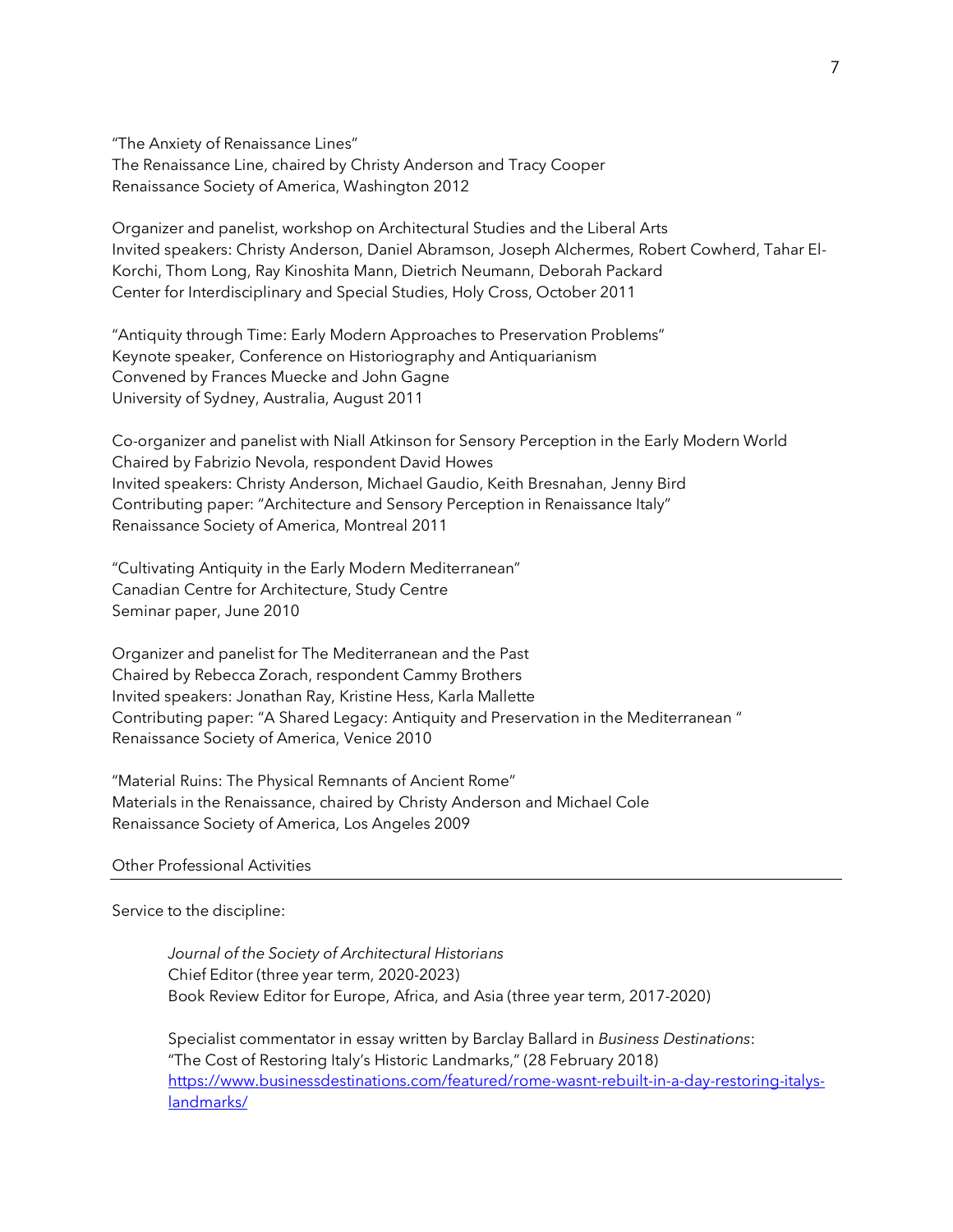"The Anxiety of Renaissance Lines" The Renaissance Line, chaired by Christy Anderson and Tracy Cooper Renaissance Society of America, Washington 2012

Organizer and panelist, workshop on Architectural Studies and the Liberal Arts Invited speakers: Christy Anderson, Daniel Abramson, Joseph Alchermes, Robert Cowherd, Tahar El-Korchi, Thom Long, Ray Kinoshita Mann, Dietrich Neumann, Deborah Packard Center for Interdisciplinary and Special Studies, Holy Cross, October 2011

"Antiquity through Time: Early Modern Approaches to Preservation Problems" Keynote speaker, Conference on Historiography and Antiquarianism Convened by Frances Muecke and John Gagne University of Sydney, Australia, August 2011

Co-organizer and panelist with Niall Atkinson for Sensory Perception in the Early Modern World Chaired by Fabrizio Nevola, respondent David Howes Invited speakers: Christy Anderson, Michael Gaudio, Keith Bresnahan, Jenny Bird Contributing paper: "Architecture and Sensory Perception in Renaissance Italy" Renaissance Society of America, Montreal 2011

"Cultivating Antiquity in the Early Modern Mediterranean" Canadian Centre for Architecture, Study Centre Seminar paper, June 2010

Organizer and panelist for The Mediterranean and the Past Chaired by Rebecca Zorach, respondent Cammy Brothers Invited speakers: Jonathan Ray, Kristine Hess, Karla Mallette Contributing paper: "A Shared Legacy: Antiquity and Preservation in the Mediterranean " Renaissance Society of America, Venice 2010

"Material Ruins: The Physical Remnants of Ancient Rome" Materials in the Renaissance, chaired by Christy Anderson and Michael Cole Renaissance Society of America, Los Angeles 2009

## Other Professional Activities

Service to the discipline:

*Journal of the Society of Architectural Historians* Chief Editor (three year term, 2020-2023) Book Review Editor for Europe, Africa, and Asia (three year term, 2017-2020)

Specialist commentator in essay written by Barclay Ballard in *Business Destinations*: "The Cost of Restoring Italy's Historic Landmarks," (28 February 2018) https://www.businessdestinations.com/featured/rome-wasnt-rebuilt-in-a-day-restoring-italyslandmarks/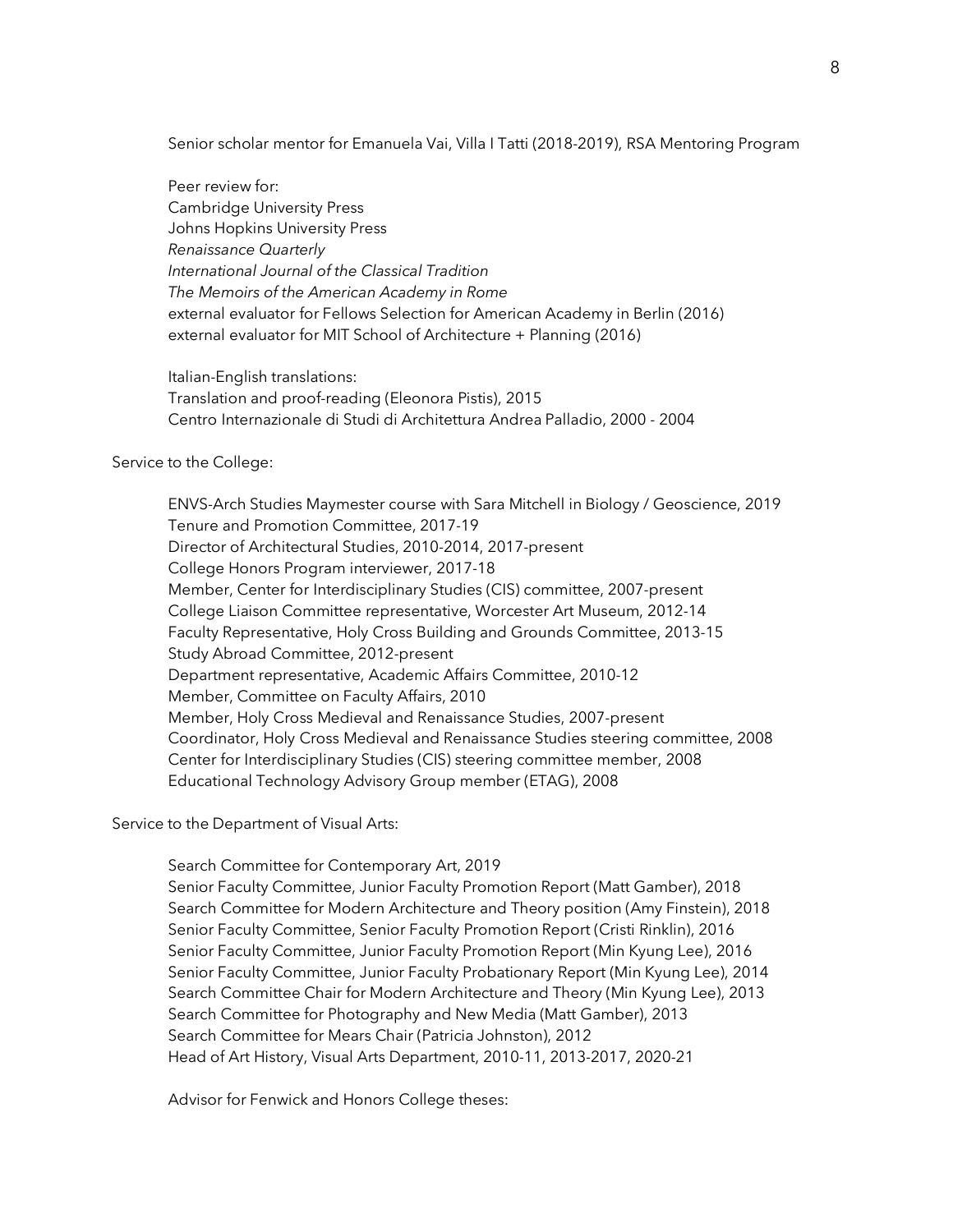Senior scholar mentor for Emanuela Vai, Villa I Tatti (2018-2019), RSA Mentoring Program

Peer review for: Cambridge University Press Johns Hopkins University Press *Renaissance Quarterly International Journal of the Classical Tradition The Memoirs of the American Academy in Rome* external evaluator for Fellows Selection for American Academy in Berlin (2016) external evaluator for MIT School of Architecture + Planning (2016)

Italian-English translations: Translation and proof-reading (Eleonora Pistis), 2015 Centro Internazionale di Studi di Architettura Andrea Palladio, 2000 - 2004

Service to the College:

ENVS-Arch Studies Maymester course with Sara Mitchell in Biology / Geoscience, 2019 Tenure and Promotion Committee, 2017-19 Director of Architectural Studies, 2010-2014, 2017-present College Honors Program interviewer, 2017-18 Member, Center for Interdisciplinary Studies (CIS) committee, 2007-present College Liaison Committee representative, Worcester Art Museum, 2012-14 Faculty Representative, Holy Cross Building and Grounds Committee, 2013-15 Study Abroad Committee, 2012-present Department representative, Academic Affairs Committee, 2010-12 Member, Committee on Faculty Affairs, 2010 Member, Holy Cross Medieval and Renaissance Studies, 2007-present Coordinator, Holy Cross Medieval and Renaissance Studies steering committee, 2008 Center for Interdisciplinary Studies (CIS) steering committee member, 2008 Educational Technology Advisory Group member (ETAG), 2008

Service to the Department of Visual Arts:

Search Committee for Contemporary Art, 2019

Senior Faculty Committee, Junior Faculty Promotion Report (Matt Gamber), 2018 Search Committee for Modern Architecture and Theory position (Amy Finstein), 2018 Senior Faculty Committee, Senior Faculty Promotion Report (Cristi Rinklin), 2016 Senior Faculty Committee, Junior Faculty Promotion Report (Min Kyung Lee), 2016 Senior Faculty Committee, Junior Faculty Probationary Report (Min Kyung Lee), 2014 Search Committee Chair for Modern Architecture and Theory (Min Kyung Lee), 2013 Search Committee for Photography and New Media (Matt Gamber), 2013 Search Committee for Mears Chair (Patricia Johnston), 2012 Head of Art History, Visual Arts Department, 2010-11, 2013-2017, 2020-21

Advisor for Fenwick and Honors College theses: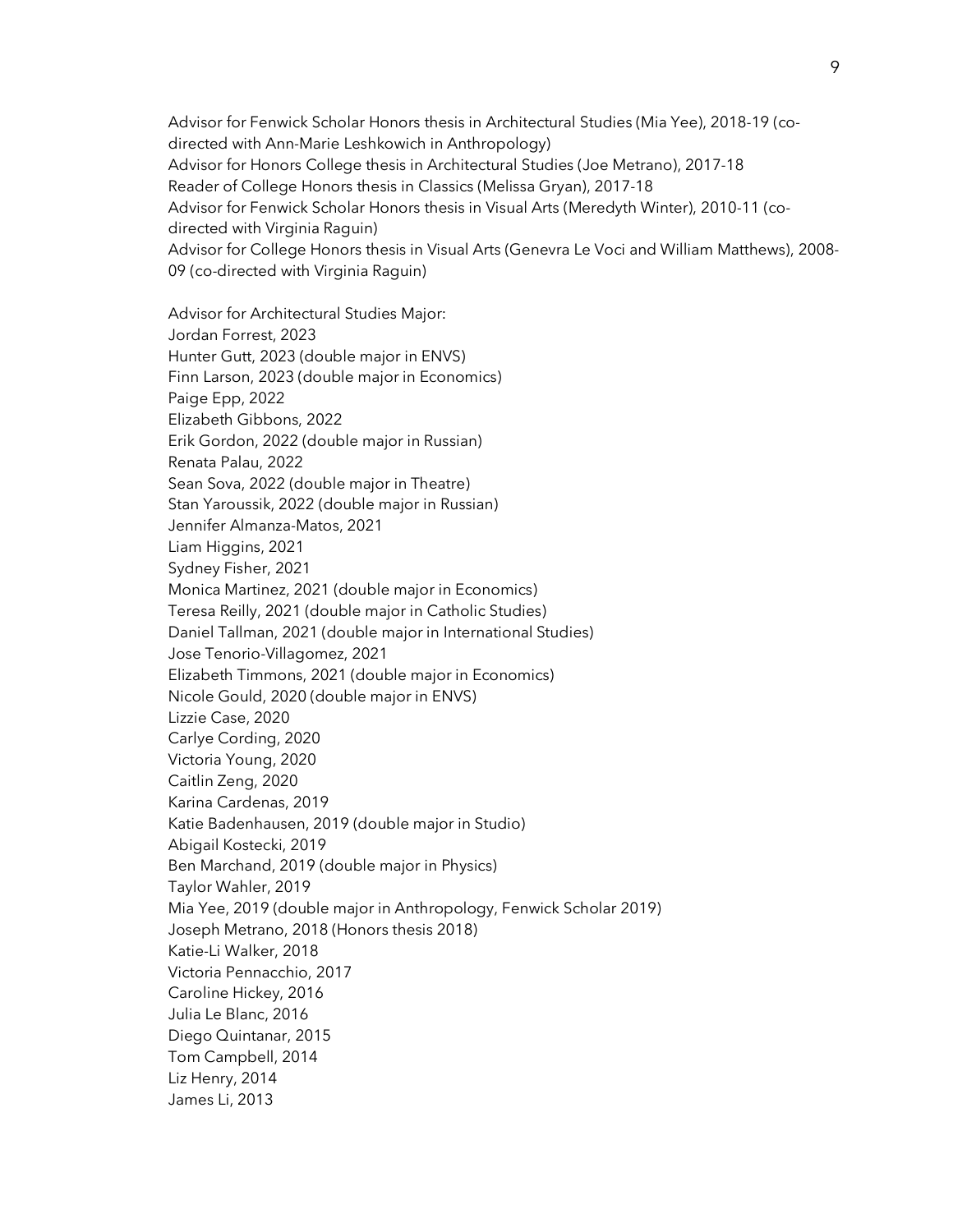Advisor for Fenwick Scholar Honors thesis in Architectural Studies (Mia Yee), 2018-19 (codirected with Ann-Marie Leshkowich in Anthropology) Advisor for Honors College thesis in Architectural Studies (Joe Metrano), 2017-18 Reader of College Honors thesis in Classics (Melissa Gryan), 2017-18 Advisor for Fenwick Scholar Honors thesis in Visual Arts (Meredyth Winter), 2010-11 (codirected with Virginia Raguin) Advisor for College Honors thesis in Visual Arts (Genevra Le Voci and William Matthews), 2008- 09 (co-directed with Virginia Raguin)

Advisor for Architectural Studies Major: Jordan Forrest, 2023 Hunter Gutt, 2023 (double major in ENVS) Finn Larson, 2023 (double major in Economics) Paige Epp, 2022 Elizabeth Gibbons, 2022 Erik Gordon, 2022 (double major in Russian) Renata Palau, 2022 Sean Sova, 2022 (double major in Theatre) Stan Yaroussik, 2022 (double major in Russian) Jennifer Almanza-Matos, 2021 Liam Higgins, 2021 Sydney Fisher, 2021 Monica Martinez, 2021 (double major in Economics) Teresa Reilly, 2021 (double major in Catholic Studies) Daniel Tallman, 2021 (double major in International Studies) Jose Tenorio-Villagomez, 2021 Elizabeth Timmons, 2021 (double major in Economics) Nicole Gould, 2020 (double major in ENVS) Lizzie Case, 2020 Carlye Cording, 2020 Victoria Young, 2020 Caitlin Zeng, 2020 Karina Cardenas, 2019 Katie Badenhausen, 2019 (double major in Studio) Abigail Kostecki, 2019 Ben Marchand, 2019 (double major in Physics) Taylor Wahler, 2019 Mia Yee, 2019 (double major in Anthropology, Fenwick Scholar 2019) Joseph Metrano, 2018 (Honors thesis 2018) Katie-Li Walker, 2018 Victoria Pennacchio, 2017 Caroline Hickey, 2016 Julia Le Blanc, 2016 Diego Quintanar, 2015 Tom Campbell, 2014 Liz Henry, 2014 James Li, 2013